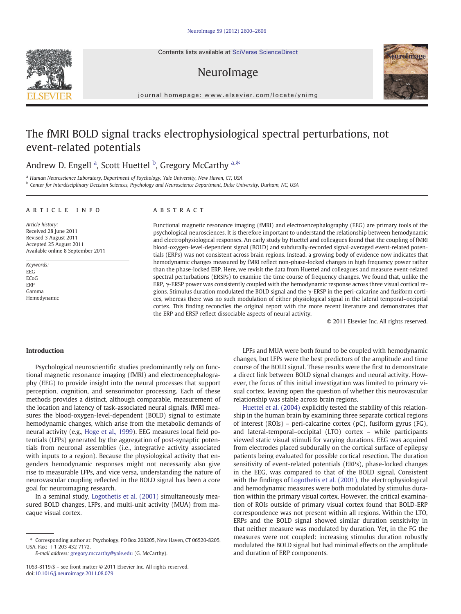Contents lists available at SciVerse ScienceDirect

# NeuroImage



journal homepage: www.elsevier.com/locate/ynimg

# The fMRI BOLD signal tracks electrophysiological spectral perturbations, not event-related potentials

# Andrew D. Engell <sup>a</sup>, Scott Huettel <sup>b</sup>, Gregory McCarthy <sup>a,\*</sup>

<sup>a</sup> Human Neuroscience Laboratory, Department of Psychology, Yale University, New Haven, CT, USA

<sup>b</sup> Center for Interdisciplinary Decision Sciences, Psychology and Neuroscience Department, Duke University, Durham, NC, USA

#### article info abstract

Article history: Received 28 June 2011 Revised 3 August 2011 Accepted 25 August 2011 Available online 8 September 2011

Keywords: EEG ECoG ERP Gamma Hemodynamic

Functional magnetic resonance imaging (fMRI) and electroencephalography (EEG) are primary tools of the psychological neurosciences. It is therefore important to understand the relationship between hemodynamic and electrophysiological responses. An early study by Huettel and colleagues found that the coupling of fMRI blood-oxygen-level-dependent signal (BOLD) and subdurally-recorded signal-averaged event-related potentials (ERPs) was not consistent across brain regions. Instead, a growing body of evidence now indicates that hemodynamic changes measured by fMRI reflect non-phase-locked changes in high frequency power rather than the phase-locked ERP. Here, we revisit the data from Huettel and colleagues and measure event-related spectral perturbations (ERSPs) to examine the time course of frequency changes. We found that, unlike the ERP, γ-ERSP power was consistently coupled with the hemodynamic response across three visual cortical regions. Stimulus duration modulated the BOLD signal and the  $\gamma$ -ERSP in the peri-calcarine and fusiform cortices, whereas there was no such modulation of either physiological signal in the lateral temporal–occipital cortex. This finding reconciles the original report with the more recent literature and demonstrates that the ERP and ERSP reflect dissociable aspects of neural activity.

© 2011 Elsevier Inc. All rights reserved.

# Introduction

Psychological neuroscientific studies predominantly rely on functional magnetic resonance imaging (fMRI) and electroencephalography (EEG) to provide insight into the neural processes that support perception, cognition, and sensorimotor processing. Each of these methods provides a distinct, although comparable, measurement of the location and latency of task-associated neural signals. fMRI measures the blood-oxygen-level-dependent (BOLD) signal to estimate hemodynamic changes, which arise from the metabolic demands of neural activity (e.g., [Hoge et al., 1999\)](#page-6-0). EEG measures local field potentials (LFPs) generated by the aggregation of post-synaptic potentials from neuronal assemblies (i.e., integrative activity associated with inputs to a region). Because the physiological activity that engenders hemodynamic responses might not necessarily also give rise to measurable LFPs, and vice versa, understanding the nature of neurovascular coupling reflected in the BOLD signal has been a core goal for neuroimaging research.

In a seminal study, [Logothetis et al. \(2001\)](#page-6-0) simultaneously measured BOLD changes, LFPs, and multi-unit activity (MUA) from macaque visual cortex.

E-mail address: [gregory.mccarthy@yale.edu](mailto:gregory.mccarthy@yale.edu) (G. McCarthy).

1053-8119/\$ – see front matter © 2011 Elsevier Inc. All rights reserved. doi[:10.1016/j.neuroimage.2011.08.079](http://dx.doi.org/10.1016/j.neuroimage.2011.08.079)

LPFs and MUA were both found to be coupled with hemodynamic changes, but LFPs were the best predictors of the amplitude and time course of the BOLD signal. These results were the first to demonstrate a direct link between BOLD signal changes and neural activity. However, the focus of this initial investigation was limited to primary visual cortex, leaving open the question of whether this neurovascular relationship was stable across brain regions.

[Huettel et al. \(2004\)](#page-6-0) explicitly tested the stability of this relationship in the human brain by examining three separate cortical regions of interest (ROIs) – peri-calcarine cortex (pC), fusiform gyrus (FG), and lateral-temporal–occipital (LTO) cortex – while participants viewed static visual stimuli for varying durations. EEG was acquired from electrodes placed subdurally on the cortical surface of epilepsy patients being evaluated for possible cortical resection. The duration sensitivity of event-related potentials (ERPs), phase-locked changes in the EEG, was compared to that of the BOLD signal. Consistent with the findings of [Logothetis et al. \(2001\),](#page-6-0) the electrophysiological and hemodynamic measures were both modulated by stimulus duration within the primary visual cortex. However, the critical examination of ROIs outside of primary visual cortex found that BOLD-ERP correspondence was not present within all regions. Within the LTO, ERPs and the BOLD signal showed similar duration sensitivity in that neither measure was modulated by duration. Yet, in the FG the measures were not coupled: increasing stimulus duration robustly modulated the BOLD signal but had minimal effects on the amplitude and duration of ERP components.



<sup>⁎</sup> Corresponding author at: Psychology, PO Box 208205, New Haven, CT 06520-8205, USA. Fax: +1 203 432 7172.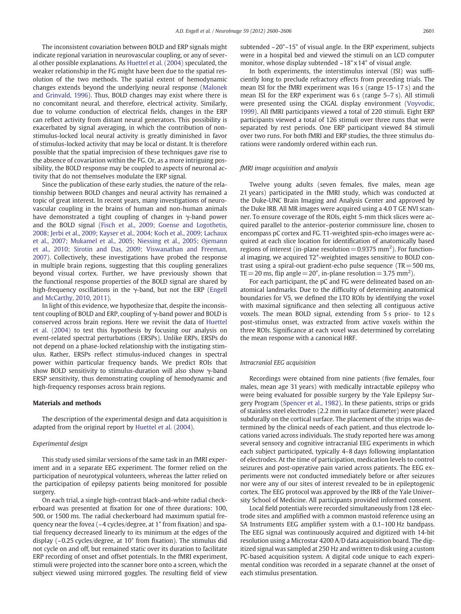The inconsistent covariation between BOLD and ERP signals might indicate regional variation in neurovascular coupling, or any of several other possible explanations. As [Huettel et al. \(2004\)](#page-6-0) speculated, the weaker relationship in the FG might have been due to the spatial resolution of the two methods. The spatial extent of hemodynamic changes extends beyond the underlying neural response [\(Malonek](#page-6-0) [and Grinvald, 1996\)](#page-6-0). Thus, BOLD changes may exist where there is no concomitant neural, and therefore, electrical activity. Similarly, due to volume conduction of electrical fields, changes in the ERP can reflect activity from distant neural generators. This possibility is exacerbated by signal averaging, in which the contribution of nonstimulus-locked local neural activity is greatly diminished in favor of stimulus-locked activity that may be local or distant. It is therefore possible that the spatial imprecision of these techniques gave rise to the absence of covariation within the FG. Or, as a more intriguing possibility, the BOLD response may be coupled to aspects of neuronal activity that do not themselves modulate the ERP signal.

Since the publication of these early studies, the nature of the relationship between BOLD changes and neural activity has remained a topic of great interest. In recent years, many investigations of neurovascular coupling in the brains of human and non-human animals have demonstrated a tight coupling of changes in γ-band power and the BOLD signal ([Fisch et al., 2009; Goense and Logothetis,](#page-6-0) [2008; Jerbi et al., 2009; Kayser et al., 2004; Koch et al., 2009; Lachaux](#page-6-0) [et al., 2007; Mukamel et al., 2005; Niessing et al., 2005; Ojemann](#page-6-0) [et al., 2010; Sirotin and Das, 2009; Viswanathan and Freeman,](#page-6-0) [2007\)](#page-6-0). Collectively, these investigations have probed the response in multiple brain regions, suggesting that this coupling generalizes beyond visual cortex. Further, we have previously shown that the functional response properties of the BOLD signal are shared by high-frequency oscillations in the  $\gamma$ -band, but not the ERP [\(Engell](#page-6-0) [and McCarthy, 2010, 2011](#page-6-0)).

In light of this evidence, we hypothesize that, despite the inconsistent coupling of BOLD and ERP, coupling of γ-band power and BOLD is conserved across brain regions. Here we revisit the data of [Huettel](#page-6-0) [et al. \(2004\)](#page-6-0) to test this hypothesis by focusing our analysis on event-related spectral perturbations (ERSPs). Unlike ERPs, ERSPs do not depend on a phase-locked relationship with the instigating stimulus. Rather, ERSPs reflect stimulus-induced changes in spectral power within particular frequency bands. We predict ROIs that show BOLD sensitivity to stimulus-duration will also show γ-band ERSP sensitivity, thus demonstrating coupling of hemodynamic and high-frequency responses across brain regions.

### Materials and methods

The description of the experimental design and data acquisition is adapted from the original report by [Huettel et al. \(2004\).](#page-6-0)

# Experimental design

This study used similar versions of the same task in an fMRI experiment and in a separate EEG experiment. The former relied on the participation of neurotypical volunteers, whereas the latter relied on the participation of epilepsy patients being monitored for possible surgery.

On each trial, a single high-contrast black-and-white radial checkerboard was presented at fixation for one of three durations: 100, 500, or 1500 ms. The radial checkerboard had maximum spatial frequency near the fovea (~4 cycles/degree, at 1° from fixation) and spatial frequency decreased linearly to its minimum at the edges of the display (~0.25 cycles/degree, at 10° from fixation). The stimulus did not cycle on and off, but remained static over its duration to facilitate ERP recording of onset and offset potentials. In the fMRI experiment, stimuli were projected into the scanner bore onto a screen, which the subject viewed using mirrored goggles. The resulting field of view subtended  $\sim$ 20 $^{\circ}$ -15 $^{\circ}$  of visual angle. In the ERP experiment, subjects were in a hospital bed and viewed the stimuli on an LCD computer monitor, whose display subtended  $\sim 18^\circ \times 14^\circ$  of visual angle.

In both experiments, the interstimulus interval (ISI) was sufficiently long to preclude refractory effects from preceding trials. The mean ISI for the fMRI experiment was 16 s (range 15–17 s) and the mean ISI for the ERP experiment was 6 s (range 5–7 s). All stimuli were presented using the CIGAL display environment [\(Voyvodic,](#page-6-0) [1999\)](#page-6-0). All fMRI participants viewed a total of 220 stimuli. Eight ERP participants viewed a total of 126 stimuli over three runs that were separated by rest periods. One ERP participant viewed 84 stimuli over two runs. For both fMRI and ERP studies, the three stimulus durations were randomly ordered within each run.

### fMRI image acquisition and analysis

Twelve young adults (seven females, five males, mean age 21 years) participated in the fMRI study, which was conducted at the Duke-UNC Brain Imaging and Analysis Center and approved by the Duke IRB. All MR images were acquired using a 4.0 T GE NVI scanner. To ensure coverage of the ROIs, eight 5-mm thick slices were acquired parallel to the anterior–posterior commissure line, chosen to encompass pC cortex and FG. T1-weighted spin-echo images were acquired at each slice location for identification of anatomically based regions of interest (in-plane resolution  $= 0.9375$  mm<sup>2</sup>). For functional imaging, we acquired T2\*-weighted images sensitive to BOLD contrast using a spiral-out gradient-echo pulse sequence ( $TR = 500$  ms, TE = 20 ms, flip angle =  $20^{\circ}$ , in-plane resolution =  $3.75$  mm<sup>2</sup>).

For each participant, the pC and FG were delineated based on anatomical landmarks. Due to the difficulty of determining anatomical boundaries for V5, we defined the LTO ROIs by identifying the voxel with maximal significance and then selecting all contiguous active voxels. The mean BOLD signal, extending from 5 s prior- to 12 s post-stimulus onset, was extracted from active voxels within the three ROIs. Significance at each voxel was determined by correlating the mean response with a canonical HRF.

#### Intracranial EEG acquisition

Recordings were obtained from nine patients (five females, four males, mean age 31 years) with medically intractable epilepsy who were being evaluated for possible surgery by the Yale Epilepsy Surgery Program [\(Spencer et al., 1982\)](#page-6-0). In these patients, strips or grids of stainless steel electrodes (2.2 mm in surface diameter) were placed subdurally on the cortical surface. The placement of the strips was determined by the clinical needs of each patient, and thus electrode locations varied across individuals. The study reported here was among several sensory and cognitive intracranial EEG experiments in which each subject participated, typically 4–8 days following implantation of electrodes. At the time of participation, medication levels to control seizures and post-operative pain varied across patients. The EEG experiments were not conducted immediately before or after seizures nor were any of our sites of interest revealed to be in epileptogenic cortex. The EEG protocol was approved by the IRB of the Yale University School of Medicine. All participants provided informed consent.

Local field potentials were recorded simultaneously from 128 electrode sites and amplified with a common mastoid reference using an SA Instruments EEG amplifier system with a 0.1–100 Hz bandpass. The EEG signal was continuously acquired and digitized with 14-bit resolution using a Microstar 4200 A/D data acquisition board. The digitized signal was sampled at 250 Hz and written to disk using a custom PC-based acquisition system. A digital code unique to each experimental condition was recorded in a separate channel at the onset of each stimulus presentation.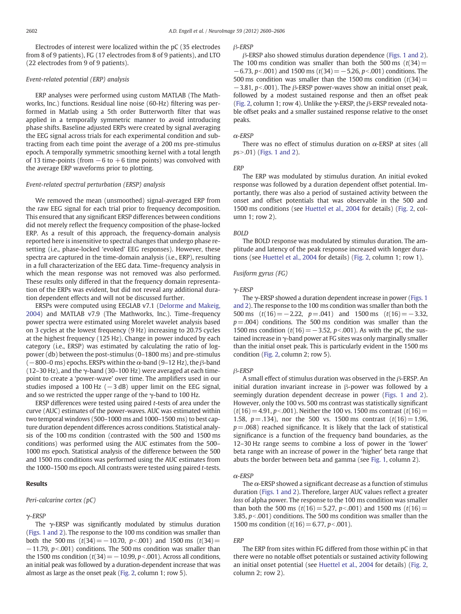Electrodes of interest were localized within the pC (35 electrodes from 8 of 9 patients), FG (17 electrodes from 8 of 9 patients), and LTO (22 electrodes from 9 of 9 patients).

# Event-related potential (ERP) analysis

ERP analyses were performed using custom MATLAB (The Mathworks, Inc.) functions. Residual line noise (60-Hz) filtering was performed in Matlab using a 5th order Butterworth filter that was applied in a temporally symmetric manner to avoid introducing phase shifts. Baseline adjusted ERPs were created by signal averaging the EEG signal across trials for each experimental condition and subtracting from each time point the average of a 200 ms pre-stimulus epoch. A temporally symmetric smoothing kernel with a total length of 13 time-points (from  $-6$  to  $+6$  time points) was convolved with the average ERP waveforms prior to plotting.

# Event-related spectral perturbation (ERSP) analysis

We removed the mean (unsmoothed) signal-averaged ERP from the raw EEG signal for each trial prior to frequency decomposition. This ensured that any significant ERSP differences between conditions did not merely reflect the frequency composition of the phase-locked ERP. As a result of this approach, the frequency-domain analysis reported here is insensitive to spectral changes that undergo phase resetting (i.e., phase-locked 'evoked' EEG responses). However, these spectra are captured in the time-domain analysis (i.e., ERP), resulting in a full characterization of the EEG data. Time–frequency analysis in which the mean response was not removed was also performed. These results only differed in that the frequency domain representation of the ERPs was evident, but did not reveal any additional duration dependent effects and will not be discussed further.

ERSPs were computed using EEGLAB v7.1 ([Delorme and Makeig,](#page-6-0) [2004\)](#page-6-0) and MATLAB v7.9 (The Mathworks, Inc.). Time–frequency power spectra were estimated using Morelet wavelet analysis based on 3 cycles at the lowest frequency (9 Hz) increasing to 20.75 cycles at the highest frequency (125 Hz). Change in power induced by each category (i.e., ERSP) was estimated by calculating the ratio of logpower (db) between the post-stimulus (0–1800 ms) and pre-stimulus  $(-800-0 \text{ ms})$  epochs. ERSPs within the  $\alpha$ -band (9–12 Hz), the  $\beta$ -band (12–30 Hz), and the  $\gamma$ -band (30–100 Hz) were averaged at each timepoint to create a 'power-wave' over time. The amplifiers used in our studies imposed a 100 Hz  $(-3 dB)$  upper limit on the EEG signal, and so we restricted the upper range of the  $\gamma$ -band to 100 Hz.

ERSP differences were tested using paired t-tests of area under the curve (AUC) estimates of the power-waves. AUC was estimated within two temporal windows (500–1000 ms and 1000–1500 ms) to best capture duration dependent differences across conditions. Statistical analysis of the 100 ms condition (contrasted with the 500 and 1500 ms conditions) was performed using the AUC estimates from the 500– 1000 ms epoch. Statistical analysis of the difference between the 500 and 1500 ms conditions was performed using the AUC estimates from the 1000–1500 ms epoch. All contrasts were tested using paired t-tests.

# Results

#### Peri-calcarine cortex (pC)

### γ-ERSP

The γ-ERSP was significantly modulated by stimulus duration [\(Figs. 1 and 2](#page-3-0)). The response to the 100 ms condition was smaller than both the 500 ms  $(t(34)=-10.70, p<.001)$  and 1500 ms  $(t(34)=$  $-11.79$ ,  $p<.001$ ) conditions. The 500 ms condition was smaller than the 1500 ms condition ( $t(34)=-10.99$ ,  $p<.001$ ). Across all conditions, an initial peak was followed by a duration-dependent increase that was almost as large as the onset peak ([Fig. 2](#page-4-0), column 1; row 5).

# β-ERSP

β-ERSP also showed stimulus duration dependence ([Figs. 1 and 2\)](#page-3-0). The 100 ms condition was smaller than both the 500 ms  $(t(34))$  $-6.73$ , p<.001) and 1500 ms (t(34) = −5.26, p<.001) conditions. The 500 ms condition was smaller than the 1500 ms condition  $(t(34))$  $-3.81$ , p<.001). The  $\beta$ -ERSP power-waves show an initial onset peak, followed by a modest sustained response and then an offset peak [\(Fig. 2,](#page-4-0) column 1; row 4). Unlike the  $\gamma$ -ERSP, the  $\beta$ -ERSP revealed notable offset peaks and a smaller sustained response relative to the onset peaks.

# $\alpha$ -ERSP

There was no effect of stimulus duration on  $\alpha$ -ERSP at sites (all  $ps > .01$ ) [\(Figs. 1 and 2](#page-3-0)).

#### ERP

The ERP was modulated by stimulus duration. An initial evoked response was followed by a duration dependent offset potential. Importantly, there was also a period of sustained activity between the onset and offset potentials that was observable in the 500 and 1500 ms conditions (see [Huettel et al., 2004](#page-6-0) for details) ([Fig. 2](#page-4-0), column 1; row 2).

#### BOLD

The BOLD response was modulated by stimulus duration. The amplitude and latency of the peak response increased with longer durations (see [Huettel et al., 2004](#page-6-0) for details) ([Fig. 2,](#page-4-0) column 1; row 1).

# Fusiform gyrus (FG)

#### γ-ERSP

The  $\gamma$ -ERSP showed a duration dependent increase in power [\(Figs. 1](#page-3-0)) [and 2](#page-3-0)). The response to the 100 ms condition was smaller than both the 500 ms  $(t(16) = -2.22, p = .041)$  and 1500 ms  $(t(16) = -3.32,$  $p = .004$ ) conditions. The 500 ms condition was smaller than the 1500 ms condition ( $t(16) = -3.52$ ,  $p < .001$ ). As with the pC, the sustained increase in γ-band power at FG sites was only marginally smaller than the initial onset peak. This is particularly evident in the 1500 ms condition [\(Fig. 2,](#page-4-0) column 2; row 5).

# β-ERSP

A small effect of stimulus duration was observed in the β-ERSP. An initial duration invariant increase in β-power was followed by a seemingly duration dependent decrease in power [\(Figs. 1 and 2](#page-3-0)). However, only the 100 vs. 500 ms contrast was statistically significant  $(t(16) = 4.91, p< .001)$ . Neither the 100 vs. 1500 ms contrast  $(t(16) =$ 1.58,  $p = .134$ ), nor the 500 vs. 1500 ms contrast  $(t(16) = 1.96$ ,  $p = .068$ ) reached significance. It is likely that the lack of statistical significance is a function of the frequency band boundaries, as the 12–30 Hz range seems to combine a loss of power in the 'lower' beta range with an increase of power in the 'higher' beta range that abuts the border between beta and gamma (see [Fig. 1](#page-3-0), column 2).

#### α-ERSP

The  $\alpha$ -ERSP showed a significant decrease as a function of stimulus duration ([Figs. 1 and 2](#page-3-0)). Therefore, larger AUC values reflect a greater loss of alpha power. The response to the 100 ms condition was smaller than both the 500 ms ( $t(16)$  = 5.27,  $p<0.01$ ) and 1500 ms ( $t(16)$  = 3.85,  $p<.001$ ) conditions. The 500 ms condition was smaller than the 1500 ms condition  $(t(16) = 6.77, p<0.001)$ .

#### **FRF**

The ERP from sites within FG differed from those within pC in that there were no notable offset potentials or sustained activity following an initial onset potential (see [Huettel et al., 2004](#page-6-0) for details) [\(Fig. 2,](#page-4-0) column 2; row 2).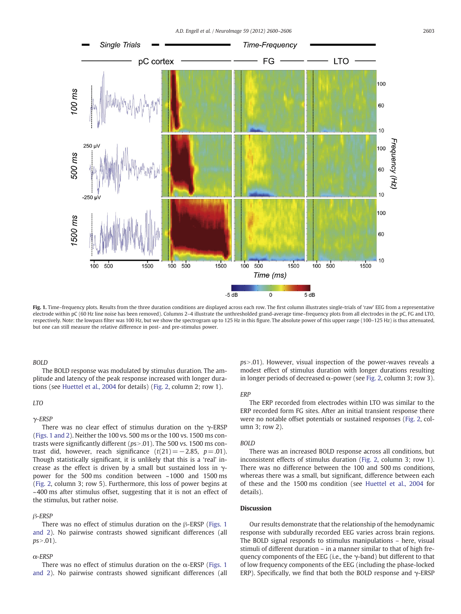<span id="page-3-0"></span>

Fig. 1. Time–frequency plots. Results from the three duration conditions are displayed across each row. The first column illustrates single-trials of 'raw' EEG from a representative electrode within pC (60 Hz line noise has been removed). Columns 2–4 illustrate the unthresholded grand-average time–frequency plots from all electrodes in the pC, FG and LTO, respectively. Note: the lowpass filter was 100 Hz, but we show the spectrogram up to 125 Hz in this figure. The absolute power of this upper range (100–125 Hz) is thus attenuated, but one can still measure the relative difference in post- and pre-stimulus power.

# BOLD

The BOLD response was modulated by stimulus duration. The amplitude and latency of the peak response increased with longer durations (see [Huettel et al., 2004](#page-6-0) for details) [\(Fig. 2,](#page-4-0) column 2; row 1).

# LTO

# γ-ERSP

There was no clear effect of stimulus duration on the  $\gamma$ -ERSP (Figs. 1 and 2). Neither the 100 vs. 500 ms or the 100 vs. 1500 ms contrasts were significantly different ( $ps$  > .01). The 500 vs. 1500 ms contrast did, however, reach significance  $(t(21)=-2.85, p=0.01)$ . Though statistically significant, it is unlikely that this is a 'real' increase as the effect is driven by a small but sustained loss in  $\gamma$ power for the 500 ms condition between ~1000 and 1500 ms [\(Fig. 2,](#page-4-0) column 3; row 5). Furthermore, this loss of power begins at ~400 ms after stimulus offset, suggesting that it is not an effect of the stimulus, but rather noise.

# β-ERSP

There was no effect of stimulus duration on the β-ERSP (Figs. 1 and 2). No pairwise contrasts showed significant differences (all  $ps > .01$ ).

# $\alpha$ -ERSP

There was no effect of stimulus duration on the  $\alpha$ -ERSP (Figs. 1) and 2). No pairwise contrasts showed significant differences (all  $ps > .01$ ). However, visual inspection of the power-waves reveals a modest effect of stimulus duration with longer durations resulting in longer periods of decreased  $\alpha$ -power (see [Fig. 2,](#page-4-0) column 3; row 3).

# **ERP**

The ERP recorded from electrodes within LTO was similar to the ERP recorded form FG sites. After an initial transient response there were no notable offset potentials or sustained responses ([Fig. 2](#page-4-0), column 3; row 2).

# BOLD

There was an increased BOLD response across all conditions, but inconsistent effects of stimulus duration [\(Fig. 2,](#page-4-0) column 3; row 1). There was no difference between the 100 and 500 ms conditions, whereas there was a small, but significant, difference between each of these and the 1500 ms condition (see [Huettel et al., 2004](#page-6-0) for details).

# Discussion

Our results demonstrate that the relationship of the hemodynamic response with subdurally recorded EEG varies across brain regions. The BOLD signal responds to stimulus manipulations – here, visual stimuli of different duration – in a manner similar to that of high frequency components of the EEG (i.e., the  $\gamma$ -band) but different to that of low frequency components of the EEG (including the phase-locked ERP). Specifically, we find that both the BOLD response and  $\gamma$ -ERSP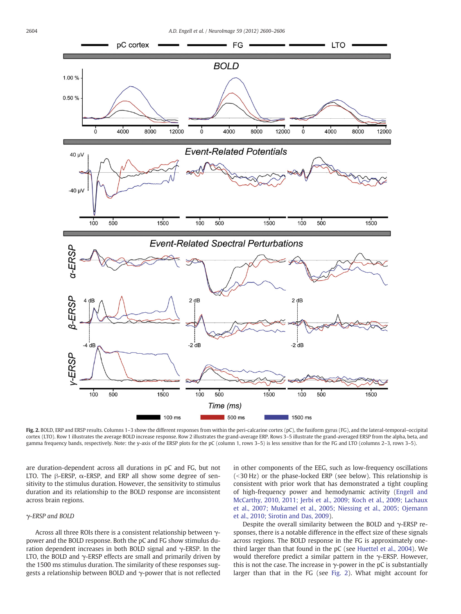<span id="page-4-0"></span>

Fig. 2. BOLD, ERP and ERSP results. Columns 1-3 show the different responses from within the peri-calcarine cortex (pC), the fusiform gyrus (FG), and the lateral-temporal-occipital cortex (LTO). Row 1 illustrates the average BOLD increase response. Row 2 illustrates the grand-average ERP. Rows 3–5 illustrate the grand-averaged ERSP from the alpha, beta, and gamma frequency bands, respectively. Note: the y-axis of the ERSP plots for the pC (column 1, rows 3–5) is less sensitive than for the FG and LTO (columns 2–3, rows 3–5).

are duration-dependent across all durations in pC and FG, but not LTO. The β-ERSP,  $α$ -ERSP, and ERP all show some degree of sensitivity to the stimulus duration. However, the sensitivity to stimulus duration and its relationship to the BOLD response are inconsistent across brain regions.

# γ-ERSP and BOLD

Across all three ROIs there is a consistent relationship between γpower and the BOLD response. Both the pC and FG show stimulus duration dependent increases in both BOLD signal and γ-ERSP. In the LTO, the BOLD and  $\gamma$ -ERSP effects are small and primarily driven by the 1500 ms stimulus duration. The similarity of these responses suggests a relationship between BOLD and γ-power that is not reflected in other components of the EEG, such as low-frequency oscillations  $(<$ 30 Hz) or the phase-locked ERP (see below). This relationship is consistent with prior work that has demonstrated a tight coupling of high-frequency power and hemodynamic activity [\(Engell and](#page-6-0) [McCarthy, 2010, 2011; Jerbi et al., 2009; Koch et al., 2009; Lachaux](#page-6-0) [et al., 2007; Mukamel et al., 2005; Niessing et al., 2005; Ojemann](#page-6-0) [et al., 2010; Sirotin and Das, 2009](#page-6-0)).

Despite the overall similarity between the BOLD and  $\gamma$ -ERSP responses, there is a notable difference in the effect size of these signals across regions. The BOLD response in the FG is approximately onethird larger than that found in the pC (see [Huettel et al., 2004](#page-6-0)). We would therefore predict a similar pattern in the  $\gamma$ -ERSP. However, this is not the case. The increase in  $\gamma$ -power in the pC is substantially larger than that in the FG (see Fig. 2). What might account for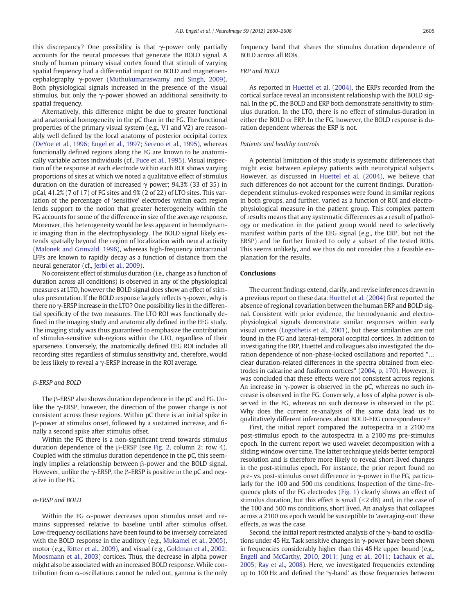this discrepancy? One possibility is that γ-power only partially accounts for the neural processes that generate the BOLD signal. A study of human primary visual cortex found that stimuli of varying spatial frequency had a differential impact on BOLD and magnetoencephalography γ-power [\(Muthukumaraswamy and Singh, 2009](#page-6-0)). Both physiological signals increased in the presence of the visual stimulus, but only the  $\gamma$ -power showed an additional sensitivity to spatial frequency.

Alternatively, this difference might be due to greater functional and anatomical homogeneity in the pC than in the FG. The functional properties of the primary visual system (e.g., V1 and V2) are reasonably well defined by the local anatomy of posterior occipital cortex [\(DeYoe et al., 1996; Engel et al., 1997; Sereno et al., 1995\)](#page-6-0), whereas functionally defined regions along the FG are known to be anatomically variable across individuals (cf., [Puce et al., 1995](#page-6-0)). Visual inspection of the response at each electrode within each ROI shows varying proportions of sites at which we noted a qualitative effect of stimulus duration on the duration of increased  $\gamma$  power; 94.3% (33 of 35) in pCal, 41.2% (7 of 17) of FG sites and 9% (2 of 22) of LTO sites. This variation of the percentage of 'sensitive' electrodes within each region lends support to the notion that greater heterogeneity within the FG accounts for some of the difference in size of the average response. Moreover, this heterogeneity would be less apparent in hemodynamic imaging than in the electrophysiology. The BOLD signal likely extends spatially beyond the region of localization with neural activity [\(Malonek and Grinvald, 1996](#page-6-0)), whereas high-frequency intracranial LFPs are known to rapidly decay as a function of distance from the neural generator (cf., [Jerbi et al., 2009\)](#page-6-0).

No consistent effect of stimulus duration (i.e., change as a function of duration across all conditions) is observed in any of the physiological measures at LTO, however the BOLD signal does show an effect of stimulus presentation. If the BOLD response largely reflects  $\gamma$ -power, why is there no γ-ERSP increase in the LTO? One possibility lies in the differential specificity of the two measures. The LTO ROI was functionally defined in the imaging study and anatomically defined in the EEG study. The imaging study was thus guaranteed to emphasize the contribution of stimulus-sensitive sub-regions within the LTO, regardless of their sparseness. Conversely, the anatomically defined EEG ROI includes all recording sites regardless of stimulus sensitivity and, therefore, would be less likely to reveal a γ-ERSP increase in the ROI average.

# β-ERSP and BOLD

The β-ERSP also shows duration dependence in the pC and FG. Unlike the  $\gamma$ -ERSP, however, the direction of the power change is not consistent across these regions. Within pC there is an initial spike in β-power at stimulus onset, followed by a sustained increase, and finally a second spike after stimulus offset.

Within the FG there is a non-significant trend towards stimulus duration dependence of the β-ERSP (see [Fig. 2](#page-4-0), column 2; row 4). Coupled with the stimulus duration dependence in the pC, this seemingly implies a relationship between β-power and the BOLD signal. However, unlike the  $\gamma$ -ERSP, the β-ERSP is positive in the pC and negative in the FG.

# α-ERSP and BOLD

Within the FG  $\alpha$ -power decreases upon stimulus onset and remains suppressed relative to baseline until after stimulus offset. Low-frequency oscillations have been found to be inversely correlated with the BOLD response in the auditory (e.g., [Mukamel et al., 2005](#page-6-0)), motor (e.g., [Ritter et al., 2009](#page-6-0)), and visual (e.g., [Goldman et al., 2002;](#page-6-0) [Moosmann et al., 2003](#page-6-0)) cortices. Thus, the decrease in alpha power might also be associated with an increased BOLD response. While contribution from α-oscillations cannot be ruled out, gamma is the only frequency band that shares the stimulus duration dependence of BOLD across all ROIs.

# ERP and BOLD

As reported in [Huettel et al. \(2004\),](#page-6-0) the ERPs recorded from the cortical surface reveal an inconsistent relationship with the BOLD signal. In the pC, the BOLD and ERP both demonstrate sensitivity to stimulus duration. In the LTO, there is no effect of stimulus-duration in either the BOLD or ERP. In the FG, however, the BOLD response is duration dependent whereas the ERP is not.

# Patients and healthy controls

A potential limitation of this study is systematic differences that might exist between epilepsy patients with neurotypical subjects. However, as discussed in [Huettel et al. \(2004\),](#page-6-0) we believe that such differences do not account for the current findings. Durationdependent stimulus-evoked responses were found in similar regions in both groups, and further, varied as a function of ROI and electrophysiological measure in the patient group. This complex pattern of results means that any systematic differences as a result of pathology or medication in the patient group would need to selectively manifest within parts of the EEG signal (e.g., the ERP, but not the ERSP) and be further limited to only a subset of the tested ROIs. This seems unlikely, and we thus do not consider this a feasible explanation for the results.

# **Conclusions**

The current findings extend, clarify, and revise inferences drawn in a previous report on these data. [Huettel et al. \(2004\)](#page-6-0) first reported the absence of regional covariation between the human ERP and BOLD signal. Consistent with prior evidence, the hemodynamic and electrophysiological signals demonstrate similar responses within early visual cortex [\(Logothetis et al., 2001\)](#page-6-0), but these similarities are not found in the FG and lateral-temporal occipital cortices. In addition to investigating the ERP, Huettel and colleagues also investigated the duration dependence of non-phase-locked oscillations and reported "… clear duration-related differences in the spectra obtained from electrodes in calcarine and fusiform cortices" [\(2004, p. 170](#page-6-0)). However, it was concluded that these effects were not consistent across regions. An increase in γ-power is observed in the pC, whereas no such increase is observed in the FG. Conversely, a loss of alpha power is observed in the FG, whereas no such decrease is observed in the pC. Why does the current re-analysis of the same data lead us to qualitatively different inferences about BOLD-EEG correspondence?

First, the initial report compared the autospectra in a 2100 ms post-stimulus epoch to the autospectra in a 2100 ms pre-stimulus epoch. In the current report we used wavelet decomposition with a sliding window over time. The latter technique yields better temporal resolution and is therefore more likely to reveal short-lived changes in the post-stimulus epoch. For instance, the prior report found no pre- vs. post-stimulus onset difference in γ-power in the FG, particularly for the 100 and 500 ms conditions. Inspection of the time–frequency plots of the FG electrodes [\(Fig. 1\)](#page-3-0) clearly shows an effect of stimulus duration, but this effect is small  $(\leq 2 \text{ dB})$  and, in the case of the 100 and 500 ms conditions, short lived. An analysis that collapses across a 2100 ms epoch would be susceptible to 'averaging-out' these effects, as was the case.

Second, the initial report restricted analysis of the γ-band to oscillations under 45 Hz. Task sensitive changes in γ-power have been shown in frequencies considerably higher than this 45 Hz upper bound (e.g., [Engell and McCarthy, 2010, 2011; Jung et al., 2011; Lachaux et al.,](#page-6-0) [2005; Ray et al., 2008](#page-6-0)). Here, we investigated frequencies extending up to 100 Hz and defined the 'γ-band' as those frequencies between